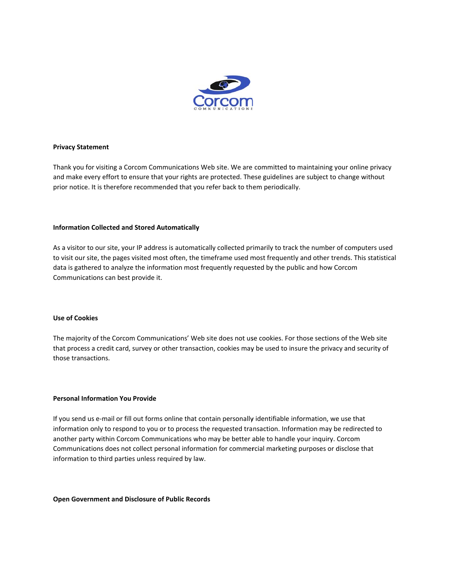

## **Privacy Statement**

Thank you for visiting a Corcom Communications Web site. We are committed to maintaining your online privacy and make every effort to ensure that your rights are protected. These guidelines are subject to change without prior notice. It is therefore recommended that you refer back to them periodically.

## **Information Collected and Stored Automatically**

As a visitor to our site, your IP address is automatically collected primarily to track the number of computers used to visit our site, the pages visited most often, the timeframe used most frequently and other trends. This statistical data is gathered to analyze the information most frequently requested by the public and how Corcom Communications can best provide it.

#### **Use of Cookies**

The majority of the Corcom Communications' Web site does not use cookies. For those sections of the Web site that process a credit card, survey or other transaction, cookies may be used to insure the privacy and security of those transactions.

## **Personal Information You Provide**

If you send us e-mail or fill out forms online that contain personally identifiable information, we use that information only to respond to you or to process the requested transaction. Information may be redirected to another party within Corcom Communications who may be better able to handle your inquiry. Corcom Communications does not collect personal information for commercial marketing purposes or disclose that information to third parties unless required by law.

#### **Open Government and Disclosure of Public Records**